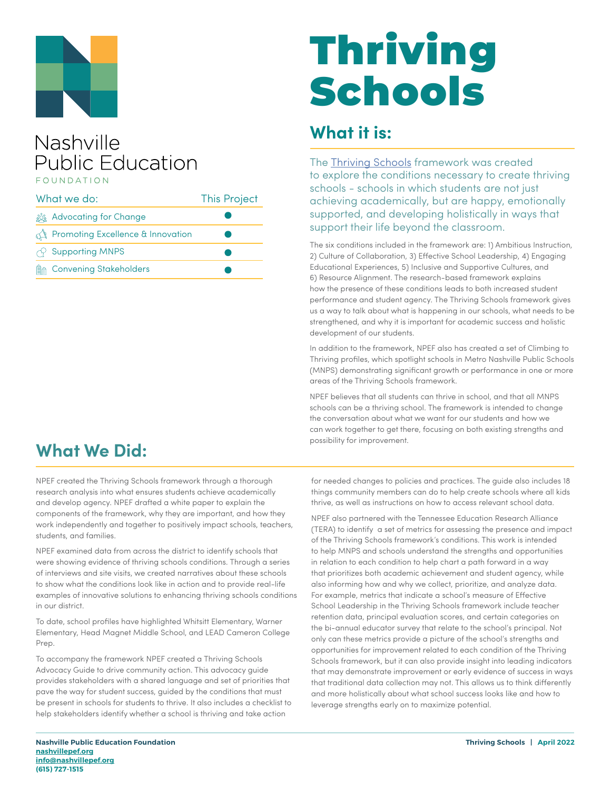

#### Nashville **Public Education EQUNDATION**

| What we do: |                                                  | <b>This Project</b> |
|-------------|--------------------------------------------------|---------------------|
|             | <u>క్రిక్కి</u> Advocating for Change            |                     |
|             | <b>The Promoting Excellence &amp; Innovation</b> |                     |
|             | $\curvearrowright$ Supporting MNPS               |                     |
| Ma          | <b>Convening Stakeholders</b>                    |                     |

# Thriving Schools

#### **What it is:**

The [Thriving Schools](https://thrivingschoolsnashville.org/) framework was created to explore the conditions necessary to create thriving schools - schools in which students are not just achieving academically, but are happy, emotionally supported, and developing holistically in ways that support their life beyond the classroom.

The six conditions included in the framework are: 1) Ambitious Instruction, 2) Culture of Collaboration, 3) Effective School Leadership, 4) Engaging Educational Experiences, 5) Inclusive and Supportive Cultures, and 6) Resource Alignment. The research-based framework explains how the presence of these conditions leads to both increased student performance and student agency. The Thriving Schools framework gives us a way to talk about what is happening in our schools, what needs to be strengthened, and why it is important for academic success and holistic development of our students.

In addition to the framework, NPEF also has created a set of Climbing to Thriving profiles, which spotlight schools in Metro Nashville Public Schools (MNPS) demonstrating significant growth or performance in one or more areas of the Thriving Schools framework.

NPEF believes that all students can thrive in school, and that all MNPS schools can be a thriving school. The framework is intended to change the conversation about what we want for our students and how we can work together to get there, focusing on both existing strengths and possibility for improvement.

## **What We Did:**

NPEF created the Thriving Schools framework through a thorough research analysis into what ensures students achieve academically and develop agency. NPEF drafted a white paper to explain the components of the framework, why they are important, and how they work independently and together to positively impact schools, teachers, students, and families.

NPEF examined data from across the district to identify schools that were showing evidence of thriving schools conditions. Through a series of interviews and site visits, we created narratives about these schools to show what the conditions look like in action and to provide real-life examples of innovative solutions to enhancing thriving schools conditions in our district.

To date, school profiles have highlighted Whitsitt Elementary, Warner Elementary, Head Magnet Middle School, and LEAD Cameron College Prep.

To accompany the framework NPEF created a Thriving Schools Advocacy Guide to drive community action. This advocacy guide provides stakeholders with a shared language and set of priorities that pave the way for student success, guided by the conditions that must be present in schools for students to thrive. It also includes a checklist to help stakeholders identify whether a school is thriving and take action

for needed changes to policies and practices. The guide also includes 18 things community members can do to help create schools where all kids thrive, as well as instructions on how to access relevant school data.

NPEF also partnered with the Tennessee Education Research Alliance (TERA) to identify a set of metrics for assessing the presence and impact of the Thriving Schools framework's conditions. This work is intended to help MNPS and schools understand the strengths and opportunities in relation to each condition to help chart a path forward in a way that prioritizes both academic achievement and student agency, while also informing how and why we collect, prioritize, and analyze data. For example, metrics that indicate a school's measure of Effective School Leadership in the Thriving Schools framework include teacher retention data, principal evaluation scores, and certain categories on the bi-annual educator survey that relate to the school's principal. Not only can these metrics provide a picture of the school's strengths and opportunities for improvement related to each condition of the Thriving Schools framework, but it can also provide insight into leading indicators that may demonstrate improvement or early evidence of success in ways that traditional data collection may not. This allows us to think differently and more holistically about what school success looks like and how to leverage strengths early on to maximize potential.